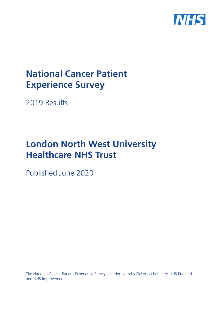

# **National Cancer Patient Experience Survey**

2019 Results

# **London North West University Healthcare NHS Trust**

Published June 2020

The National Cancer Patient Experience Survey is undertaken by Picker on behalf of NHS England and NHS Improvement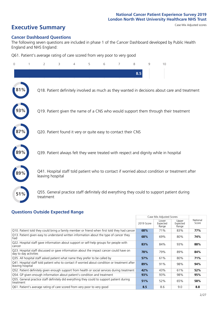# **Executive Summary** Case Mix Adjusted scores

#### **Cancer Dashboard Questions**

The following seven questions are included in phase 1 of the Cancer Dashboard developed by Public Health England and NHS England:

Q61. Patient's average rating of care scored from very poor to very good

| $\Omega$ | 2                                                             | 3 | 4 | 5 | 6 | 8   | $\mathsf{Q}$ | 10                                                                                            |
|----------|---------------------------------------------------------------|---|---|---|---|-----|--------------|-----------------------------------------------------------------------------------------------|
|          |                                                               |   |   |   |   | 8.5 |              |                                                                                               |
|          |                                                               |   |   |   |   |     |              | Q18. Patient definitely involved as much as they wanted in decisions about care and treatment |
|          |                                                               |   |   |   |   |     |              | Q19. Patient given the name of a CNS who would support them through their treatment           |
|          | Q20. Patient found it very or quite easy to contact their CNS |   |   |   |   |     |              |                                                                                               |
|          |                                                               |   |   |   |   |     |              | Q39. Patient always felt they were treated with respect and dignity while in hospital         |
|          | leaving hospital                                              |   |   |   |   |     |              | Q41. Hospital staff told patient who to contact if worried about condition or treatment after |
| 51%      | treatment                                                     |   |   |   |   |     |              | Q55. General practice staff definitely did everything they could to support patient during    |

### **Questions Outside Expected Range**

|                                                                                                                   |            | Case Mix Adjusted Scores   |                            |                   |
|-------------------------------------------------------------------------------------------------------------------|------------|----------------------------|----------------------------|-------------------|
|                                                                                                                   | 2019 Score | Lower<br>Expected<br>Range | Upper<br>Expected<br>Range | National<br>Score |
| Q10. Patient told they could bring a family member or friend when first told they had cancer                      | 68%        | 71%                        | 83%                        | 77%               |
| Q13. Patient given easy to understand written information about the type of cancer they<br>had                    | 68%        | 69%                        | 80%                        | 74%               |
| Q22. Hospital staff gave information about support or self-help groups for people with<br>cancer                  | 83%        | 84%                        | 93%                        | 88%               |
| Q23. Hospital staff discussed or gave information about the impact cancer could have on<br>day to day activities  | 78%        | 79%                        | 89%                        | 84%               |
| Q35. All hospital staff asked patient what name they prefer to be called by                                       | 57%        | 61%                        | 80%                        | 71%               |
| Q41. Hospital staff told patient who to contact if worried about condition or treatment after<br>leaving hospital | 89%        | 91%                        | 98%                        | 94%               |
| Q52. Patient definitely given enough support from health or social services during treatment                      | 42%        | 43%                        | 61%                        | 52%               |
| Q54. GP given enough information about patient's condition and treatment                                          | 93%        | 93%                        | 98%                        | 95%               |
| Q55. General practice staff definitely did everything they could to support patient during<br>treatment           | 51%        | 52%                        | 65%                        | 58%               |
| Q61. Patient's average rating of care scored from very poor to very good                                          | 8.5        | 8.6                        | 9.0                        | 8.8               |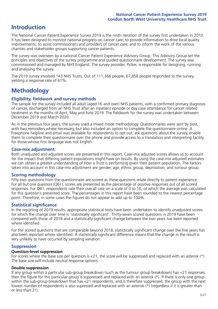## **Introduction**

The National Cancer Patient Experience Survey 2019 is the ninth iteration of the survey first undertaken in 2010. It has been designed to monitor national progress on cancer care; to provide information to drive local quality improvements; to assist commissioners and providers of cancer care; and to inform the work of the various charities and stakeholder groups supporting cancer patients.

The survey was overseen by a national Cancer Patient Experience Advisory Group. This Advisory Group set the principles and objectives of the survey programme and guided questionnaire development. The survey was commissioned and managed by NHS England. The survey provider, Picker, is responsible for designing, running and analysing the survey.

The 2019 survey involved 143 NHS Trusts. Out of 111,366 people, 67,858 people responded to the survey, yielding a response rate of 61%.

# **Methodology**

#### **Eligibility, eldwork and survey methods**

The sample for the survey included all adult (aged 16 and over) NHS patients, with a confirmed primary diagnosis of cancer, discharged from an NHS Trust after an inpatient episode or day case attendance for cancer related treatment in the months of April, May and June 2019. The fieldwork for the survey was undertaken between December 2019 and March 2020.

As in the previous four years, the survey used a mixed mode methodology. Questionnaires were sent by post, with two reminders where necessary, but also included an option to complete the questionnaire online. A Freephone helpline and email was available for respondents to opt out, ask questions about the survey, enable them to complete their questionnaire over the phone and provide access to a translation and interpreting facility for those whose first language was not English.

#### **Case-mix adjustment**

Both unadjusted and adjusted scores are presented in this report. Case-mix adjusted scores allows us to account for the impact that differing patient populations might have on results. By using the case-mix adjusted estimates we can obtain a greater understanding of how a Trust is performing given their patient population. The factors taken into account in this case-mix adjustment are gender, age, ethnic group, deprivation, and tumour group.

#### **Scoring methodology**

Fifty-two questions from the questionnaire are scored as these questions relate directly to patient experience. For all but one question (Q61), scores are presented as the percentage of positive responses out of all scored responses. For Q61, respondents rate their overall care on a scale of 0 to 10, of which the average was calculated for this question's presented score. The percentages in this report have been rounded to the nearest percentage point. Therefore, in some cases the figures do not appear to add up to 100%.

#### **Statistical significance**

In the reporting of 2019 results, appropriate statistical tests have been undertaken to identify unadjusted scores for which the change over time is 'statistically significant'. Thirty-seven scored questions in 2019 have been compared with those of 2018 and a statistically significant change between the two years has been reported where identified.

For the scored questions that are comparable beyond 2018, statistically significant change over the five years has also been reported where identified. A statistically significant difference means that the change in the result is very unlikely to have occurred by sampling variation.

#### **Suppression**

#### **Question-level suppression**

For scores where the base size per question is  $<$ 21, the score will be suppressed and replaced with an asterisk (\*). The base size will include neutral response options.

#### **Double suppression**

If any group within a particular sub-group breakdown (such as the tumour group breakdown) has <21 responses, then the figure for this particular group is suppressed and replaced with an asterisk (\*). If there is only one group within the sub-group breakdown that has <21 respondents, and is therefore suppressed, the group with the next lowest number of respondents is also supressed and replaced with an asterisk (\*) (regardless if it is greater than or less than 21).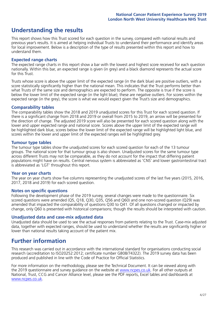# **Understanding the results**

This report shows how this Trust scored for each question in the survey, compared with national results and previous year's results. It is aimed at helping individual Trusts to understand their performance and identify areas for local improvement. Below is a description of the type of results presented within this report and how to understand them.

#### **Expected range charts**

The expected range charts in this report show a bar with the lowest and highest score received for each question nationally. Within this bar, an expected range is given (in grey) and a black diamond represents the actual score for this Trust.

Trusts whose score is above the upper limit of the expected range (in the dark blue) are positive outliers, with a score statistically significantly higher than the national mean. This indicates that the Trust performs better than what Trusts of the same size and demographics are expected to perform. The opposite is true if the score is below the lower limit of the expected range (in the light blue); these are negative outliers. For scores within the expected range (in the grey), the score is what we would expect given the Trust's size and demographics.

#### **Comparability tables**

The comparability tables show the 2018 and 2019 unadjusted scores for this Trust for each scored question. If there is a significant change from 2018 and 2019 or overall from 2015 to 2019, an arrow will be presented for the direction of change. The adjusted 2019 score will also be presented for each scored question along with the lower and upper expected range and national score. Scores above the upper limit of the expected range will be highlighted dark blue, scores below the lower limit of the expected range will be highlighted light blue, and scores within the lower and upper limit of the expected ranges will be highlighted grey.

#### **Tumour type tables**

The tumour type tables show the unadjusted scores for each scored question for each of the 13 tumour groups. The national score for that tumour group is also shown. Unadjusted scores for the same tumour type across different Trusts may not be comparable, as they do not account for the impact that differing patient populations might have on results. Central nervous system is abbreviated as 'CNS' and lower gastrointestinal tract is abbreviated as 'LGT' throughout this report.

#### **Year on year charts**

The year on year charts show five columns representing the unadjusted scores of the last five years (2015, 2016, 2017, 2018 and 2019) for each scored question.

#### **Notes on specific questions**

Following the development phase of the 2019 survey, several changes were made to the questionnaire. Six scored questions were amended (Q5, Q18, Q30, Q35, Q56 and Q60) and one non-scored question (Q29) was amended that impacted the comparability of questions Q30 to Q41. Of all questions changed or impacted by change, only Q60 is presented with historical comparisons; though the results should be interpreted with caution.

#### **Unadjusted data and case-mix adjusted data**

Unadjusted data should be used to see the actual responses from patients relating to the Trust. Case-mix adjusted data, together with expected ranges, should be used to understand whether the results are significantly higher or lower than national results taking account of the patient mix.

### **Further information**

This research was carried out in accordance with the international standard for organisations conducting social research (accreditation to ISO20252:2012; certificate number GB08/74322). The 2019 survey data has been produced and published in line with the Code of Practice for Official Statistics.

For more information on the methodology, please see the Technical Document. It can be viewed along with the 2019 questionnaire and survey quidance on the website at [www.ncpes.co.uk](https://www.ncpes.co.uk/supporting-documents). For all other outputs at National, Trust, CCG and Cancer Alliance level, please see the PDF reports, Excel tables and dashboards at [www.ncpes.co.uk.](https://www.ncpes.co.uk/current-results)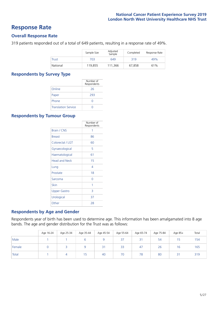### **Response Rate**

#### **Overall Response Rate**

319 patients responded out of a total of 649 patients, resulting in a response rate of 49%.

|          | Sample Size | Adjusted<br>Sample | Completed | Response Rate |
|----------|-------------|--------------------|-----------|---------------|
| Trust    | 703         | 649                | 319       | 49%           |
| National | 119,855     | 111.366            | 67.858    | 61%           |

#### **Respondents by Survey Type**

|                            | Number of<br>Respondents |
|----------------------------|--------------------------|
| Online                     | 26                       |
| Paper                      | 293                      |
| Phone                      |                          |
| <b>Translation Service</b> |                          |

#### **Respondents by Tumour Group**

|                      | Number of<br>Respondents |
|----------------------|--------------------------|
| Brain / CNS          | 1                        |
| <b>Breast</b>        | 86                       |
| Colorectal / LGT     | 60                       |
| Gynaecological       | 5                        |
| Haematological       | 61                       |
| <b>Head and Neck</b> | 15                       |
| Lung                 | 4                        |
| Prostate             | 18                       |
| Sarcoma              | Ω                        |
| Skin                 | 1                        |
| Upper Gastro         | 3                        |
| Urological           | 37                       |
| Other                | 28                       |

#### **Respondents by Age and Gender**

Respondents year of birth has been used to determine age. This information has been amalgamated into 8 age bands. The age and gender distribution for the Trust was as follows:

|        | Age 16-24 | Age 25-34 | Age 35-44 | Age 45-54 | Age 55-64 | Age 65-74 | Age 75-84 | Age 85+ | Total |
|--------|-----------|-----------|-----------|-----------|-----------|-----------|-----------|---------|-------|
| Male   |           |           |           |           | 37        | 31        | 54        | 15      | 154   |
| Female |           |           |           | 21<br>ا ب | 33        | 47        | 26        | 16      | 165   |
| Total  |           |           | כ ו       | 40        | 70        | 78        | 80        | 31      | 319   |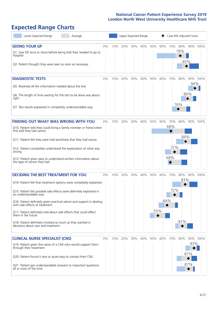# **Expected Range Charts**

| Lower Expected Range<br>Average                                                                                                                                                                                                                                                                                                                                                                                                                                                                                             |       |     | Upper Expected Range |     |         |     |                   | Case Mix Adjusted Score  |                   |                   |          |
|-----------------------------------------------------------------------------------------------------------------------------------------------------------------------------------------------------------------------------------------------------------------------------------------------------------------------------------------------------------------------------------------------------------------------------------------------------------------------------------------------------------------------------|-------|-----|----------------------|-----|---------|-----|-------------------|--------------------------|-------------------|-------------------|----------|
| <b>SEEING YOUR GP</b><br>Q1. Saw GP once or twice before being told they needed to go to<br>hospital<br>Q2. Patient thought they were seen as soon as necessary                                                                                                                                                                                                                                                                                                                                                             | $0\%$ | 10% | 20%                  | 30% | 40% 50% |     | 60%               | 70% 80%                  | 78%               | 85%               | 90% 100% |
| <b>DIAGNOSTIC TESTS</b><br>Q5. Received all the information needed about the test<br>Q6. The length of time waiting for the test to be done was about<br>right<br>Q7. Test results explained in completely understandable way                                                                                                                                                                                                                                                                                               | $0\%$ | 10% | 20%                  | 30% | 40%     | 50% | 60%               | 70%                      | 80%<br>76%        | 94%<br>86%        | 90% 100% |
| <b>FINDING OUT WHAT WAS WRONG WITH YOU</b><br>Q10. Patient told they could bring a family member or friend when<br>first told they had cancer<br>Q11. Patient felt they were told sensitively that they had cancer<br>Q12. Patient completely understood the explanation of what was<br>wrong<br>Q13. Patient given easy to understand written information about<br>the type of cancer they had                                                                                                                             | $0\%$ | 10% | 20%                  | 30% | 40%     | 50% | 60%               | 70%<br>68%<br>72%<br>68% | 80%<br>84%        |                   | 90% 100% |
| <b>DECIDING THE BEST TREATMENT FOR YOU</b><br>Q14. Patient felt that treatment options were completely explained<br>Q15. Patient felt possible side effects were definitely explained in<br>an understandable way<br>Q16. Patient definitely given practical advice and support in dealing<br>with side effects of treatment<br>Q17. Patient definitely told about side effects that could affect<br>them in the future<br>Q18. Patient definitely involved as much as they wanted in<br>decisions about care and treatment | $0\%$ | 10% | 20%                  | 30% | 40%     | 50% | 60%<br>64%<br>55% | 70%<br>72%               | 80%<br>83%<br>81% |                   | 90% 100% |
| <b>CLINICAL NURSE SPECIALIST (CNS)</b><br>Q19. Patient given the name of a CNS who would support them<br>through their treatment<br>Q20. Patient found it very or quite easy to contact their CNS<br>Q21. Patient got understandable answers to important questions<br>all or most of the time                                                                                                                                                                                                                              | $0\%$ | 10% | 20%                  | 30% | 40%     | 50% | 60%               | 70%                      | 80%               | 93%<br>87%<br>87% | 90% 100% |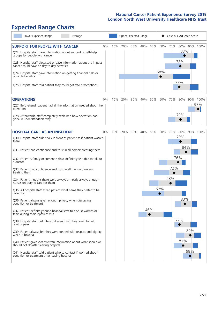# **Expected Range Charts**

| Lower Expected Range<br>Average                                                                                   |     |     | Upper Expected Range |     |     |     |         | Case Mix Adjusted Score |          |
|-------------------------------------------------------------------------------------------------------------------|-----|-----|----------------------|-----|-----|-----|---------|-------------------------|----------|
| <b>SUPPORT FOR PEOPLE WITH CANCER</b><br>$0\%$                                                                    | 10% | 20% | 30%                  | 40% | 50% |     | 60% 70% | 80%<br>83%              | 90% 100% |
| Q22. Hospital staff gave information about support or self-help<br>groups for people with cancer                  |     |     |                      |     |     |     |         |                         |          |
| Q23. Hospital staff discussed or gave information about the impact<br>cancer could have on day to day activities  |     |     |                      |     |     |     |         | 78%                     |          |
| Q24. Hospital staff gave information on getting financial help or<br>possible benefits                            |     |     |                      |     |     | 58% |         |                         |          |
| Q25. Hospital staff told patient they could get free prescriptions                                                |     |     |                      |     |     |     |         | 77%                     |          |
| <b>OPERATIONS</b><br>$0\%$                                                                                        | 10% | 20% | 30%                  | 40% | 50% | 60% | 70%     | 80%                     | 90% 100% |
| Q27. Beforehand, patient had all the information needed about the<br>operation                                    |     |     |                      |     |     |     |         |                         | 97%      |
| Q28. Afterwards, staff completely explained how operation had<br>gone in understandable way                       |     |     |                      |     |     |     |         | 79%                     |          |
| <b>HOSPITAL CARE AS AN INPATIENT</b><br>0%                                                                        | 10% | 20% | 30%                  | 40% | 50% | 60% | 70%     | 80%                     | 90% 100% |
| Q30. Hospital staff didn't talk in front of patient as if patient wasn't<br>there                                 |     |     |                      |     |     |     |         | 79%                     |          |
| Q31. Patient had confidence and trust in all doctors treating them                                                |     |     |                      |     |     |     |         | 84%                     |          |
| Q32. Patient's family or someone close definitely felt able to talk to<br>a doctor                                |     |     |                      |     |     |     | 76%     |                         |          |
| Q33. Patient had confidence and trust in all the ward nurses<br>treating them                                     |     |     |                      |     |     |     | 72%     |                         |          |
| Q34. Patient thought there were always or nearly always enough<br>nurses on duty to care for them                 |     |     |                      |     |     |     | 68%     |                         |          |
| Q35. All hospital staff asked patient what name they prefer to be<br>called by                                    |     |     |                      |     |     | 57% |         |                         |          |
| Q36. Patient always given enough privacy when discussing<br>condition or treatment                                |     |     |                      |     |     |     |         | 83%                     |          |
| Q37. Patient definitely found hospital staff to discuss worries or<br>fears during their inpatient visit          |     |     |                      |     | 46% |     |         |                         |          |
| Q38. Hospital staff definitely did everything they could to help<br>control pain                                  |     |     |                      |     |     |     |         | 77%                     |          |
| Q39. Patient always felt they were treated with respect and dignity<br>while in hospital                          |     |     |                      |     |     |     |         | 89%                     |          |
| Q40. Patient given clear written information about what should or<br>should not do after leaving hospital         |     |     |                      |     |     |     |         | 81%                     |          |
| Q41. Hospital staff told patient who to contact if worried about<br>condition or treatment after leaving hospital |     |     |                      |     |     |     |         | 89%                     |          |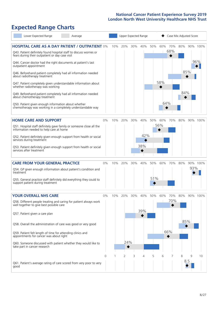# **Expected Range Charts**

| Lower Expected Range                                                                                                                                                                                                                                                                                                                                                                                                                                        | Average |    |     |            |     | Upper Expected Range |            |            | Case Mix Adjusted Score |            |          |                 |
|-------------------------------------------------------------------------------------------------------------------------------------------------------------------------------------------------------------------------------------------------------------------------------------------------------------------------------------------------------------------------------------------------------------------------------------------------------------|---------|----|-----|------------|-----|----------------------|------------|------------|-------------------------|------------|----------|-----------------|
| <b>HOSPITAL CARE AS A DAY PATIENT / OUTPATIENT 0%</b><br>Q43. Patient definitely found hospital staff to discuss worries or<br>fears during their outpatient or day case visit<br>Q44. Cancer doctor had the right documents at patient's last                                                                                                                                                                                                              |         |    | 10% | 20%        | 30% | 40%                  | 50%        | 60%        | 70%<br>68%              | 80%        |          | 90% 100%<br>96% |
| outpatient appointment<br>Q46. Beforehand patient completely had all information needed<br>about radiotherapy treatment<br>Q47. Patient completely given understandable information about<br>whether radiotherapy was working<br>Q49. Beforehand patient completely had all information needed<br>about chemotherapy treatment<br>Q50. Patient given enough information about whether<br>chemotherapy was working in a completely understandable way        |         |    |     |            |     |                      |            | 58%<br>64% |                         | 84%        | 85%      |                 |
| <b>HOME CARE AND SUPPORT</b><br>Q51. Hospital staff definitely gave family or someone close all the<br>information needed to help care at home<br>Q52. Patient definitely given enough support from health or social<br>services during treatment<br>Q53. Patient definitely given enough support from health or social<br>services after treatment                                                                                                         |         | 0% | 10% | 20%        | 30% | 40%<br>42%<br>38%    | 50%        | 60%<br>56% | 70%                     | 80%        |          | 90% 100%        |
| <b>CARE FROM YOUR GENERAL PRACTICE</b><br>Q54. GP given enough information about patient's condition and<br>treatment<br>Q55. General practice staff definitely did everything they could to<br>support patient during treatment                                                                                                                                                                                                                            |         | 0% | 10% | 20%        | 30% | 40%                  | 50%<br>51% | 60%        | 70%                     | 80%        | 93%      | 90% 100%        |
| <b>YOUR OVERALL NHS CARE</b><br>Q56. Different people treating and caring for patient always work<br>well together to give best possible care<br>Q57. Patient given a care plan<br>Q58. Overall the administration of care was good or very good<br>Q59. Patient felt length of time for attending clinics and<br>appointments for cancer was about right<br>Q60. Someone discussed with patient whether they would like to<br>take part in cancer research |         | 0% | 10% | 20%<br>24% | 30% | 40%<br>39%           | 50%        | 60%        | 70%<br>70%<br>66%       | 80%<br>85% |          | 90% 100%        |
| Q61. Patient's average rating of care scored from very poor to very<br>good                                                                                                                                                                                                                                                                                                                                                                                 |         | 0  |     | 2          | 3   | 4                    | 5          | 6          |                         | 8          | 9<br>8.5 | 10              |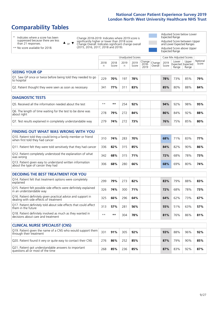# **Comparability Tables**

\* Indicates where a score has been suppressed because there are less than 21 responses.

\*\* No score available for 2018.

 $\triangle$  or  $\nabla$ 

Change 2018-2019: Indicates where 2019 score is significantly higher or lower than 2018 score Change Overall: Indicates significant change overall (2015, 2016, 2017, 2018 and 2019).

Adjusted Score below Lower Expected Range Adjusted Score between Upper and Lower Expected Ranges Adjusted Score above Upper Expected Range

|                                                                             |           |               | Unadjusted Scores |               |                           |                   |               | Case Mix Adjusted Scores                   |                |                   |
|-----------------------------------------------------------------------------|-----------|---------------|-------------------|---------------|---------------------------|-------------------|---------------|--------------------------------------------|----------------|-------------------|
|                                                                             | 2018<br>n | 2018<br>Score | 2019<br>n         | 2019<br>Score | Change  <br>2018-<br>2019 | Change<br>Overall | 2019<br>Score | Lower<br><b>Expected Expected</b><br>Range | Upper<br>Range | National<br>Score |
| <b>SEEING YOUR GP</b>                                                       |           |               |                   |               |                           |                   |               |                                            |                |                   |
| Q1. Saw GP once or twice before being told they needed to go<br>to hospital | 229       | 70%           | 197               | 78%           |                           |                   | 78%           | 73%                                        | 85%            | 79%               |
| Q2. Patient thought they were seen as soon as necessary                     | 341       | 77%           | 311               | 83%           |                           |                   | 85%           | 80%                                        | 88%            | 84%               |
| <b>DIAGNOSTIC TESTS</b>                                                     |           |               |                   |               |                           |                   |               |                                            |                |                   |

| O5. Received all the information needed about the test                    | $**$ | **  | <u> 254 - </u> | 92% |  | 94% | 92% | 98% | 95% |
|---------------------------------------------------------------------------|------|-----|----------------|-----|--|-----|-----|-----|-----|
| Q6. The length of time waiting for the test to be done was<br>about right | 278  | 79% | 777            | 84% |  | 86% | 84% | 92% | 88% |
| Q7. Test results explained in completely understandable way               | 279  | 74% | 777            | 73% |  | 76% | 75% | 85% | 80% |

| <b>FINDING OUT WHAT WAS WRONG WITH YOU</b>                                                      |     |     |     |     |  |     |     |     |     |
|-------------------------------------------------------------------------------------------------|-----|-----|-----|-----|--|-----|-----|-----|-----|
| Q10. Patient told they could bring a family member or friend<br>when first told they had cancer | 310 | 74% | 283 | 70% |  | 68% | 71% | 83% | 77% |
| Q11. Patient felt they were told sensitively that they had cancer                               | 336 | 82% | 315 | 85% |  | 84% | 82% | 90% | 86% |
| Q12. Patient completely understood the explanation of what<br>was wrong                         | 342 | 68% | 315 | 71% |  | 72% | 68% | 78% | 73% |
| Q13. Patient given easy to understand written information<br>about the type of cancer they had  | 306 | 68% | 280 | 66% |  | 68% | 69% | 80% | 74% |

| <b>DECIDING THE BEST TREATMENT FOR YOU</b>                                                              |      |     |     |     |  |     |     |     |     |
|---------------------------------------------------------------------------------------------------------|------|-----|-----|-----|--|-----|-----|-----|-----|
| Q14. Patient felt that treatment options were completely<br>explained                                   | 299  | 79% | 273 | 82% |  | 83% | 79% | 88% | 83% |
| Q15. Patient felt possible side effects were definitely explained<br>in an understandable way           | 326  | 74% | 300 | 71% |  | 72% | 68% | 78% | 73% |
| Q16. Patient definitely given practical advice and support in<br>dealing with side effects of treatment | 325  | 66% | 296 | 64% |  | 64% | 62% | 73% | 67% |
| Q17. Patient definitely told about side effects that could affect<br>them in the future                 | 313  | 57% | 281 | 56% |  | 55% | 51% | 63% | 57% |
| Q18. Patient definitely involved as much as they wanted in<br>decisions about care and treatment        | $**$ | **  | 304 | 78% |  | 81% | 76% | 86% | 81% |

| <b>CLINICAL NURSE SPECIALIST (CNS)</b>                                                    |     |     |     |     |     |     |     |     |
|-------------------------------------------------------------------------------------------|-----|-----|-----|-----|-----|-----|-----|-----|
| Q19. Patient given the name of a CNS who would support them<br>through their treatment    | 331 | 91% | 305 | 92% | 93% | 88% | 96% | 92% |
| Q20. Patient found it very or quite easy to contact their CNS                             | 276 | 86% | 252 | 85% | 87% | 79% | 90% | 85% |
| Q21. Patient got understandable answers to important<br>questions all or most of the time | 268 | 85% | 236 | 85% | 87% | 83% | 92% | 87% |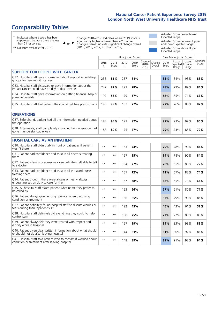# **Comparability Tables**

\* Indicates where a score has been suppressed because there are less than 21 responses.

\*\* No score available for 2018.

 $\triangle$  or  $\nabla$ 

Change 2018-2019: Indicates where 2019 score is significantly higher or lower than 2018 score Change Overall: Indicates significant change overall (2015, 2016, 2017, 2018 and 2019).

Adjusted Score below Lower Expected Range Adjusted Score between Upper and Lower Expected Ranges Adjusted Score above Upper Expected Range

|                                                                                                                   |              |               | Unadjusted Scores    |               |                         |                   |               | Case Mix Adjusted Scores            |                |                   |
|-------------------------------------------------------------------------------------------------------------------|--------------|---------------|----------------------|---------------|-------------------------|-------------------|---------------|-------------------------------------|----------------|-------------------|
|                                                                                                                   | 2018<br>n    | 2018<br>Score | 2019<br>$\mathsf{n}$ | 2019<br>Score | Change<br>2018-<br>2019 | Change<br>Overall | 2019<br>Score | Lower<br>Expected Expected<br>Range | Upper<br>Range | National<br>Score |
| <b>SUPPORT FOR PEOPLE WITH CANCER</b>                                                                             |              |               |                      |               |                         |                   |               |                                     |                |                   |
| Q22. Hospital staff gave information about support or self-help<br>groups for people with cancer                  | 258          | 81%           | 237                  | 81%           |                         |                   | 83%           | 84%                                 | 93%            | 88%               |
| Q23. Hospital staff discussed or gave information about the<br>impact cancer could have on day to day activities  | 247          | 82%           | 223                  | 78%           |                         |                   | 78%           | 79%                                 | 89%            | 84%               |
| Q24. Hospital staff gave information on getting financial help or<br>possible benefits                            | 197          | 56%           | 179                  | 57%           |                         |                   | 58%           | 55%                                 | 71%            | 63%               |
| Q25. Hospital staff told patient they could get free prescriptions                                                | 193          | 79%           | 157                  | 77%           |                         |                   | 77%           | 76%                                 | 88%            | 82%               |
| <b>OPERATIONS</b>                                                                                                 |              |               |                      |               |                         |                   |               |                                     |                |                   |
| Q27. Beforehand, patient had all the information needed about<br>the operation                                    | 183          | 95%           | 173                  | 97%           |                         |                   | 97%           | 93%                                 | 99%            | 96%               |
| Q28. Afterwards, staff completely explained how operation had<br>gone in understandable way                       | 183          | 80%           | 175                  | 77%           |                         |                   | 79%           | 73%                                 | 85%            | 79%               |
| <b>HOSPITAL CARE AS AN INPATIENT</b>                                                                              |              |               |                      |               |                         |                   |               |                                     |                |                   |
| Q30. Hospital staff didn't talk in front of patient as if patient<br>wasn't there                                 | $* *$        | $***$         | 153                  | 74%           |                         |                   | 79%           | 78%                                 | 90%            | 84%               |
| Q31. Patient had confidence and trust in all doctors treating<br>them                                             | $* *$        | $***$         | 157                  | 85%           |                         |                   | 84%           | 78%                                 | 90%            | 84%               |
| Q32. Patient's family or someone close definitely felt able to talk<br>to a doctor                                | $* *$        | $***$         | 134                  | 77%           |                         |                   | 76%           | 65%                                 | 80%            | 72%               |
| Q33. Patient had confidence and trust in all the ward nurses<br>treating them                                     | $* *$        | $***$         | 157                  | 72%           |                         |                   | 72%           | 67%                                 | 82%            | 74%               |
| Q34. Patient thought there were always or nearly always<br>enough nurses on duty to care for them                 | $* *$        | $***$         | 157                  | 68%           |                         |                   | 68%           | 55%                                 | 73%            | 64%               |
| Q35. All hospital staff asked patient what name they prefer to<br>be called by                                    | $* *$        | $***$         | 153                  | 56%           |                         |                   | 57%           | 61%                                 | 80%            | 71%               |
| Q36. Patient always given enough privacy when discussing<br>condition or treatment                                | $\star\star$ | $***$         | 156                  | 85%           |                         |                   | 83%           | 79%                                 | 90%            | 85%               |
| Q37. Patient definitely found hospital staff to discuss worries or<br>fears during their inpatient visit          | $* *$        | $***$         | 122                  | 45%           |                         |                   | 46%           | 43%                                 | 61%            | 52%               |
| Q38. Hospital staff definitely did everything they could to help<br>control pain                                  | $* *$        | $***$         | 138                  | 75%           |                         |                   | 77%           | 77%                                 | 89%            | 83%               |
| Q39. Patient always felt they were treated with respect and<br>dignity while in hospital                          | $***$        | $***$         | 157                  | 89%           |                         |                   | 89%           | 83%                                 | 93%            | 88%               |
| Q40. Patient given clear written information about what should<br>or should not do after leaving hospital         | $* *$        | $***$         | 144                  | 81%           |                         |                   | 81%           | 80%                                 | 92%            | 86%               |
| Q41. Hospital staff told patient who to contact if worried about<br>condition or treatment after leaving hospital | $**$         | $***$         | 148                  | 89%           |                         |                   | 89%           | 91%                                 | 98%            | 94%               |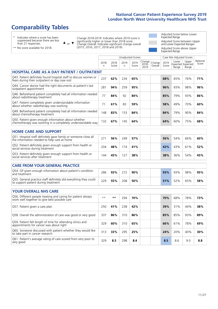# **Comparability Tables**

\* Indicates where a score has been suppressed because there are less than 21 responses.

\*\* No score available for 2018.

 $\triangle$  or  $\nabla$ 

Change 2018-2019: Indicates where 2019 score is significantly higher or lower than 2018 score Change Overall: Indicates significant change overall (2015, 2016, 2017, 2018 and 2019).

Adjusted Score below Lower Expected Range Adjusted Score between Upper and Lower Expected Ranges Adjusted Score above Upper Expected Range

|                                                                                                                       |                      |               | Unadjusted Scores |               |                         |                   |               | Case Mix Adjusted Scores            |                |                   |
|-----------------------------------------------------------------------------------------------------------------------|----------------------|---------------|-------------------|---------------|-------------------------|-------------------|---------------|-------------------------------------|----------------|-------------------|
|                                                                                                                       | 2018<br>$\mathsf{n}$ | 2018<br>Score | 2019<br>n         | 2019<br>Score | Change<br>2018-<br>2019 | Change<br>Overall | 2019<br>Score | Lower<br>Expected Expected<br>Range | Upper<br>Range | National<br>Score |
| <b>HOSPITAL CARE AS A DAY PATIENT / OUTPATIENT</b>                                                                    |                      |               |                   |               |                         |                   |               |                                     |                |                   |
| Q43. Patient definitely found hospital staff to discuss worries or<br>fears during their outpatient or day case visit | 237                  | 62%           | 234               | 65%           |                         |                   | 68%           | 65%                                 | 76%            | 71%               |
| Q44. Cancer doctor had the right documents at patient's last<br>outpatient appointment                                | 281                  | 94%           | 259               | 95%           |                         |                   | 96%           | 93%                                 | 98%            | 96%               |
| Q46. Beforehand patient completely had all information needed<br>about radiotherapy treatment                         | 77                   | 84%           | 92                | 84%           |                         |                   | 85%           | 79%                                 | 93%            | 86%               |
| Q47. Patient completely given understandable information<br>about whether radiotherapy was working                    | 71                   | 61%           | 83                | 59%           |                         |                   | 58%           | 49%                                 | 70%            | 60%               |
| Q49. Beforehand patient completely had all information needed<br>about chemotherapy treatment                         | 148                  | 83%           | 153               | 84%           |                         |                   | 84%           | 79%                                 | 90%            | 84%               |
| Q50. Patient given enough information about whether<br>chemotherapy was working in a completely understandable way    | 132                  | 67%           | 145               | 64%           |                         |                   | 64%           | 60%                                 | 75%            | 68%               |
| <b>HOME CARE AND SUPPORT</b>                                                                                          |                      |               |                   |               |                         |                   |               |                                     |                |                   |
| Q51. Hospital staff definitely gave family or someone close all<br>the information needed to help care at home        | 271                  | 56%           | 249               | 57%           |                         |                   | 56%           | 54%                                 | 66%            | 60%               |
| Q52. Patient definitely given enough support from health or<br>social services during treatment                       | 204                  | 48%           | 174               | 41%           |                         |                   | 42%           | 43%                                 | 61%            | 52%               |
| Q53. Patient definitely given enough support from health or<br>social services after treatment                        | 144                  | 45%           | 127               | 38%           |                         |                   | 38%           | 36%                                 | 54%            | 45%               |
| <b>CARE FROM YOUR GENERAL PRACTICE</b>                                                                                |                      |               |                   |               |                         |                   |               |                                     |                |                   |
| Q54. GP given enough information about patient's condition<br>and treatment                                           | 286                  | 93%           | 272               | 90%           |                         |                   | 93%           | 93%                                 | 98%            | 95%               |
| Q55. General practice staff definitely did everything they could<br>to support patient during treatment               | 229                  | 55%           | 208               | 50%           |                         |                   | 51%           | 52%                                 | 65%            | 58%               |
| <b>YOUR OVERALL NHS CARE</b>                                                                                          |                      |               |                   |               |                         |                   |               |                                     |                |                   |
| Q56. Different people treating and caring for patient always<br>work well together to give best possible care         | $* *$                | $***$         | 294               | 70%           |                         |                   | 70%           | 68%                                 | 78%            | 73%               |
| Q57. Patient given a care plan                                                                                        | 250                  | 41%           | 238               | 42%           |                         |                   | 39%           | 31%                                 | 44%            | 38%               |
| Q58. Overall the administration of care was good or very good                                                         | 337                  | 86%           | 310               | 86%           |                         |                   | 85%           | 85%                                 | 93%            | 89%               |
| Q59. Patient felt length of time for attending clinics and<br>appointments for cancer was about right                 | 329                  | 60%           | 310               | 65%           |                         |                   | 66%           | 61%                                 | 78%            | 69%               |
| Q60. Someone discussed with patient whether they would like<br>to take part in cancer research                        | 313                  | 33%           | 295               | 25%           |                         |                   | 24%           | 20%                                 | 40%            | 30%               |
| Q61. Patient's average rating of care scored from very poor to<br>very good                                           | 329                  | 8.5           | 298               | 8.4           |                         |                   | 8.5           | 8.6                                 | 9.0            | 8.8               |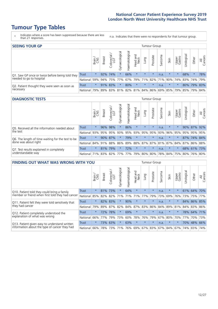- \* Indicates where a score has been suppressed because there are less than 21 responses.
- n.a. Indicates that there were no respondents for that tumour group.

| <b>SEEING YOUR GP</b>                           |                          |              |               |                   |                    |                |                  |                                                     | Tumour Group |         |                         |                 |            |             |                |
|-------------------------------------------------|--------------------------|--------------|---------------|-------------------|--------------------|----------------|------------------|-----------------------------------------------------|--------------|---------|-------------------------|-----------------|------------|-------------|----------------|
|                                                 |                          | Brain<br>CNS | <b>Breast</b> | Colorectal<br>LGT | ᠊ᢛ<br>Gynaecologic | Haematological | Head and<br>Neck | Lung                                                | Prostate     | Sarcoma | Skin                    | Upper<br>Gastro | Urological | Other       | All<br>Cancers |
| Q1. Saw GP once or twice before being told they | Trust                    | $\star$      |               | 92% 74%           |                    | 66%            | $\star$          | $\star$                                             | $\star$      | n.a.    | $\star$                 | $\star$         | 68%        | $\star$     | 78%            |
| needed to go to hospital                        | National 59% 94% 75% 77% |              |               |                   |                    |                |                  | 67%   79%   71%   82%                               |              |         | 71% 90% 74% 83% 74% 79% |                 |            |             |                |
| Q2. Patient thought they were seen as soon as   | Trust                    | $\star$      |               | 91% 83%           |                    | 80%            | $\star$          | $\star$                                             | $\star$      | n.a.    | $\star$                 |                 |            | 80% 79% 83% |                |
| necessary                                       | National I               | 79%          |               |                   |                    |                |                  | 89% 83% 81% 82% 81% 84% 86% 69% 85% 79% 85% 79% 84% |              |         |                         |                 |            |             |                |

#### **DIAGNOSTIC TESTS** Tumour Group

|                                                   |                                                          | Brain   | Breast | Colorectal<br>LGT | Gynaecological | ক<br>aematologic | Head and<br>Neck | Lung            | Prostate | Sarcoma | Skin    | Upper<br>Gastro                                     | rological | Other       | All<br>Cancers |
|---------------------------------------------------|----------------------------------------------------------|---------|--------|-------------------|----------------|------------------|------------------|-----------------|----------|---------|---------|-----------------------------------------------------|-----------|-------------|----------------|
| Q5. Received all the information needed about     | <b>Trust</b>                                             | $\star$ |        | 96% 98%           |                | 86%              | $\star$          | $\star$         | $\star$  | n.a.    | $\star$ | $\star$                                             |           | 90% 87% 92% |                |
| the test                                          | National                                                 | 93%     |        | 95% 95%           | 93%            | 95%              |                  | 93% 95% 95% 93% |          |         | 96%     | 95%                                                 | 95%       | 95%         | 95%            |
| Q6. The length of time waiting for the test to be | Trust                                                    | $\star$ |        | 90% 87%           |                | 79%              | $\star$          | $\star$         | $\star$  | n.a.    | $\star$ |                                                     |           | 87% 74%     | 84%            |
| done was about right                              | National 84% 91% 88% 86%                                 |         |        |                   |                |                  |                  |                 |          |         |         | 89%   88%   87%   87%   81%   87%   84%   87%   86% |           |             | 88%            |
| Q7. Test results explained in completely          | <b>Trust</b>                                             | $\star$ | 81%    | 79%               |                | 72%              | $\star$          | $\star$         | $\star$  | n.a.    | $\star$ |                                                     |           |             | 68% 61% 73%    |
| understandable way                                | National 71% 83% 82% 77% 77% 79% 80% 80% 78% 84% 75% 80% |         |        |                   |                |                  |                  |                 |          |         |         |                                                     |           |             | 76% 80%        |

| <b>FINDING OUT WHAT WAS WRONG WITH YOU</b>        |              |         |               |            |                |               |                  |         | Tumour Group |         |         |                 |            |             |                |
|---------------------------------------------------|--------------|---------|---------------|------------|----------------|---------------|------------------|---------|--------------|---------|---------|-----------------|------------|-------------|----------------|
|                                                   |              | Brain   | <b>Breast</b> | Colorectal | Gynaecological | Haematologica | Head and<br>Neck | Lung    | Prostate     | Sarcoma | Skin    | Upper<br>Gastro | Irological | Other       | All<br>Cancers |
| Q10. Patient told they could bring a family       | <b>Trust</b> | $\star$ | 81%           | 73%        | $\star$        | 64%           | $\star$          | $\star$ | $\star$      | n.a.    | $\star$ | $\star$         | 61%        | 64%         | 70%            |
| member or friend when first told they had cancer  | National     | 85%     | 82%           | 82%        | 71%            | 71%           | 71%              | 77%     | 79%          | 73%     | 69%     | 76%             | 73%        | 75%         | 77%            |
| Q11. Patient felt they were told sensitively that | Trust        | $\star$ | 82%           | 83%        | $\star$        | 90%           | $\star$          | $\star$ | $\star$      | n.a.    | $\ast$  | $\star$         | 84%        | 86%         | 85%            |
| they had cancer                                   | National     | 79%     |               | 89% 87%    | 82%            |               | 84% 87%          | 83%     | 86%          | 84%     |         | 89% 81%         |            | 84% 83%     | 86%            |
| Q12. Patient completely understood the            | Trust        | $\star$ | 72%           | 78%        |                | 69%           | $\star$          | $\star$ | $\star$      | n.a.    | $\star$ |                 |            | 78% 64% 71% |                |
| explanation of what was wrong                     | National     | 66%     | 77%           | 79%        | 73%            | 60%           | 78%              | 76%     | 79%          | 67%     | 80%     | 70%             | 77%        | 70%         | 73%            |
| Q13. Patient given easy to understand written     | Trust        | $\star$ | 73%           | 63%        |                | 63%           | $\star$          | $\star$ | $\star$      | n.a.    | $\star$ | $\star$         | 70%        | 48%         | 66%            |
| information about the type of cancer they had     | National     | 66%     | 78%           | 73%        | 71%            | 76%           | 69%              | 67% 83% |              | 67%     | 84%     | 67%             | 74%        | 65%         | 74%            |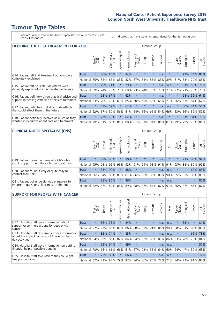\* Indicates where a score has been suppressed because there are less than 21 responses.

n.a. Indicates that there were no respondents for that tumour group.

| <b>DECIDING THE BEST TREATMENT FOR YOU</b>         |              |         |               |                             |                |                |                        |         | <b>Tumour Group</b> |                                     |         |                 |            |             |                |
|----------------------------------------------------|--------------|---------|---------------|-----------------------------|----------------|----------------|------------------------|---------|---------------------|-------------------------------------|---------|-----------------|------------|-------------|----------------|
|                                                    |              | Brain   | <b>Breast</b> | blorectal.<br>LGT<br>$\cup$ | Gynaecological | Haematological | ad and<br>Neck<br>Head | Lung    | Prostate            | Sarcoma                             | Skin    | Upper<br>Gastro | Jrological | Other       | All<br>Cancers |
| Q14. Patient felt that treatment options were      | <b>Trust</b> | $\star$ | 86%           | 80%                         | $\star$        | 84%            | $\star$                | $\star$ | $\star$             | n.a.                                | $\ast$  | $\star$         | 93%        | 74%         | 82%            |
| completely explained                               | National     | 85%     | 85%           | 85%                         | 85%            | 82%            | 87%                    | 84%     | 83%                 | 83%                                 | 89%     | 81%             |            | 83% 79%     | 83%            |
| Q15. Patient felt possible side effects were       | Trust        | $\star$ | 79%           | 71%                         | $\star$        | 79%            | $\star$                | $\star$ | $\star$             | n.a.                                | n.a.    | $\star$         |            | 61% 59%     | 171%           |
| definitely explained in an understandable way      | National     | 69%     | 74%           | 76%                         | 75%            | 69%            | 73%                    | 74%     | 73%                 | 73%                                 | 77%     | 72%             | 71%        | 70%         | 73%            |
| Q16. Patient definitely given practical advice and | Trust        | $\star$ | 68%           | 67%                         | $\star$        | 62%            | $\star$                | $\star$ | $\star$             | n.a.                                |         | $\star$         |            | 68% 52% 64% |                |
| support in dealing with side effects of treatment  | National     | 63%     | 70%           | 70%                         | 69%            | 65%            | 70%                    | 69%     | 65%                 | 66%                                 | 71%     | 66%             | 63%        | 64%         | 67%            |
| Q17. Patient definitely told about side effects    | Trust        | $\star$ | 63%           | 52%                         | $\star$        | 62%            | $\star$                | $\star$ | $\star$             | n.a.                                | n.a.    | $\star$         |            | 50% 44%     | 56%            |
| that could affect them in the future               | National     | 62%     | 57%           | 59%                         | 56%            | 51%            | 64%                    | 56%     | 66%                 | 54%                                 | 66%     | 53%             |            | 56% 52%     | 57%            |
| Q18. Patient definitely involved as much as they   | Trust        | $\star$ | 77%           | 79%                         | $\star$        | 82%            | $\star$                | $\star$ | $\star$             | n.a.                                | $\star$ | $\star$         |            | 91% 81%     | 178%           |
| wanted in decisions about care and treatment       | National     | 79%     |               |                             |                |                |                        |         |                     | 81% 83% 81% 80% 81% 81% 84% 81% 87% |         | 79%             |            | 79% 78% 81% |                |

#### **CLINICAL NURSE SPECIALIST (CNS)** Tumour Group

|                                             |                                                          | Brain   | <b>Breast</b>   | Colorectal<br>LGT | Gynaecologica | ক<br>ت<br>Haematologi | Head and<br>Neck | Lung                  | Prostate | Sarcoma | Skin    | Upper<br>Gastro | rological | Other       | All<br>Cancers |
|---------------------------------------------|----------------------------------------------------------|---------|-----------------|-------------------|---------------|-----------------------|------------------|-----------------------|----------|---------|---------|-----------------|-----------|-------------|----------------|
| Q19. Patient given the name of a CNS who    | Trust                                                    | $\star$ | 99%             | 98%               |               | 90%                   | $\star$          | $\star$               | $\star$  | n.a.    | $\star$ | $\star$         |           | 71% 85% 92% |                |
| would support them through their treatment  | National                                                 |         | 95% 95%         | 92%               | 95%           | 92%                   | 91%              | 94% 91%               |          |         | 91% 91% | 93%             | 85%       | 89%         | 92%            |
| Q20. Patient found it very or quite easy to | Trust                                                    | $\star$ | 83%             | 90%               |               | 88%                   | $\star$          | $\star$               | $\star$  | n.a.    | n.a.    | $\star$         | $\star$   |             | 67% 85%        |
| contact their CNS                           | National                                                 |         | 86% 84% 88% 85% |                   |               |                       |                  | 87%   86%   86%   80% |          |         |         | 86% 90% 85% 83% |           | 83%         | 85%            |
| Q21. Patient got understandable answers to  | Trust                                                    | $\star$ |                 | 88% 86%           |               | 86%                   | $\star$          | $\star$               | $\star$  | n.a.    | n.a.    | $\star$         | $\star$   | $\star$     | 85%            |
| important questions all or most of the time | National 82% 87% 89% 86% 89% 88% 86% 87% 87% 93% 86% 87% |         |                 |                   |               |                       |                  |                       |          |         |         |                 |           | 86%         | 87%            |

| <b>SUPPORT FOR PEOPLE WITH CANCER</b>                                                             |              |         |               |                        |                |                |                        |         | <b>Tumour Group</b> |         |      |                 |           |         |                |
|---------------------------------------------------------------------------------------------------|--------------|---------|---------------|------------------------|----------------|----------------|------------------------|---------|---------------------|---------|------|-----------------|-----------|---------|----------------|
|                                                                                                   |              | Brain   | <b>Breast</b> | olorectal.<br>LGT<br>Ũ | Gynaecological | Haematological | ad and<br>Neck<br>Head | Lung    | Prostate            | Sarcoma | Skin | Upper<br>Gastro | Jrologica | Other   | All<br>Cancers |
| Q22. Hospital staff gave information about<br>support or self-help groups for people with         | <b>Trust</b> | $\star$ | 86%           | 78%                    | $\star$        | 84%            | $\star$                | $\star$ | $\star$             | n.a.    | n.a. | $\star$         | 83%       | $\star$ | 81%            |
| cancer                                                                                            | National     | 92%     | 92%           | 88%                    | 87%            | 86%            | 88%                    | 87%     | 91%                 | 86%     | 90%  | 88%             | 81%       | 83%     | 88%            |
| Q23. Hospital staff discussed or gave information<br>about the impact cancer could have on day to | Trust        | $\star$ | 82%           | 74%                    | $\star$        | 83%            | $\star$                | $\star$ | $\star$             | n.a.    | n.a. | $\star$         | $\star$   | 62%     | 78%            |
| day activities                                                                                    | National     | 84%     | 86%           | 85%                    | 82%            | 84%            | 84%                    | 83%     | 88%                 | 81%     | 86%  | 83%             | 78%       | 79%     | 84%            |
| Q24. Hospital staff gave information on getting                                                   | Trust        | $\star$ |               | 53% 64%                | $\star$        | 69%            | $\star$                | $\star$ | $\star$             | n.a.    | n.a. | $\star$         | $\star$   | $\star$ | 57%            |
| financial help or possible benefits                                                               | National     | 78%     |               | 68% 61%                | 66%            | 61%            | 67%                    | 72%     | 55%                 | 64%     | 60%  | 64%             | 47%       | 59%     | 63%            |
| Q25. Hospital staff told patient they could get                                                   | Trust        | $\star$ | 73%           | 88%                    | $\star$        | 86%            | $\star$                | $\star$ | $\star$             | n.a.    | n.a. | $\star$         | $\star$   | $\ast$  | 77%            |
| free prescriptions                                                                                | National     | 82%     |               | 81% 83%                | 79%            |                | 87% 84% 86% 80%        |         |                     | 78%     | 71%  | 84%             | 73%       | 81%     | 82%            |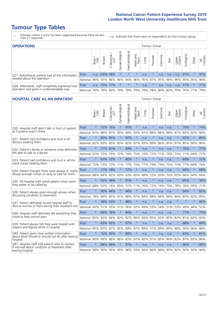- \* Indicates where a score has been suppressed because there are less than 21 responses.
- n.a. Indicates that there were no respondents for that tumour group.

| <b>OPERATIONS</b>                                |              |       |               |                       |                   |                    |                     |      | Tumour Group |         |      |                 |                                                  |          |                |
|--------------------------------------------------|--------------|-------|---------------|-----------------------|-------------------|--------------------|---------------------|------|--------------|---------|------|-----------------|--------------------------------------------------|----------|----------------|
|                                                  |              | Brain | <b>Breast</b> | olorectal<br>LGT<br>Ü | ক<br>Gynaecologic | శ్ర<br>Haematologi | Head and<br>Neck    | Lung | Prostate     | Sarcoma | Skin | Upper<br>Gastro | Jrological                                       | Other    | All<br>Cancers |
| Q27. Beforehand, patient had all the information | <b>Trust</b> |       | n.a. 100% 98% |                       | $\star$           | $\star$            | $\star$             | n.a. | $\star$      | n.a.    | n.a. | n.a.            | 91%                                              | $\star$  | 97%            |
| needed about the operation                       | National     | 96%   |               | 97% 96%               | 96%               | 94%                | 96% 95% 97% 95% 96% |      |              |         |      | $ 96\% $        | 95% 95%                                          |          | 96%            |
| Q28. Afterwards, staff completely explained how  | Trust        | n.a.  |               | 75% 77%               | $\star$           | $\star$            | $\star$             | n.a. | $\star$      | n.a.    | n.a. | n.a.            | 77%                                              | $^\star$ | 77%            |
| operation had gone in understandable way         | National     | 76%   |               | 79% 83%               |                   |                    |                     |      |              |         |      |                 | 79%  78%  79%  79%  78%  80%  82%  79%  76%  77% |          | 79%            |

#### **HOSPITAL CARE AS AN INPATIENT** Tumour Group

|                                                                                                  |              | Brain   | Breast  | Colorectal /<br>LGT | Gynaecological | Haematological | Head and<br>Neck | Lung        | Prostate | Sarcoma | Skin | Upper<br>Gastro | Urological | Other   | All<br>Cancers |
|--------------------------------------------------------------------------------------------------|--------------|---------|---------|---------------------|----------------|----------------|------------------|-------------|----------|---------|------|-----------------|------------|---------|----------------|
| Q30. Hospital staff didn't talk in front of patient                                              | <b>Trust</b> | $\star$ | 72%     | 76%                 | $\star$        | 81%            | $\star$          | n.a.        | $\star$  | n.a.    | n.a. | $\star$         | 79%        | $\star$ | 74%            |
| as if patient wasn't there                                                                       | National     | 81%     | 86%     | 81%                 | 83%            | 84%            | 83%              | 81%         | 88%      | 86%     | 86%  | 81%             | 83%        | 82%     | 84%            |
| 031. Patient had confidence and trust in all                                                     | Trust        | $\star$ | 80% 85% |                     | $\star$        | 97%            | $\star$          | n.a.        | $\star$  | n.a.    | n.a. |                 | 92%        | $\star$ | 85%            |
| doctors treating them                                                                            | National     | 82%     | 83% 85% |                     | 83%            | 82% 87%        |                  | 83%         | 89%      | 86%     | 85%  | 81%             | 85%        | 80%     | 84%            |
| Q32. Patient's family or someone close definitely                                                | <b>Trust</b> | $\star$ |         | 71% 81%             |                | 89%            | $\star$          | n.a.        | $\star$  | n.a.    | n.a. |                 | 76%        | $\star$ | 77%            |
| felt able to talk to a doctor                                                                    | National     | 67%     | 72%     | 73%                 | 72%            | 74%            | 75%              | 74%         | 72%      | 71%     | 74%  | 73%             | 71%        | 69%     | 72%            |
| Q33. Patient had confidence and trust in all the                                                 | <b>Trust</b> | $\star$ | 67%     | 72%                 | $\star$        | 90%            | $\star$          | n.a.        | $\star$  | n.a.    | n.a. | $\star$         | 80%        | $\star$ | 72%            |
| ward nurses treating them                                                                        | National     | 72%     | 73%     | 72%                 | 71%            | 77%            | 75%              | 77%         | 79%      | 74%     | 75%  | 73%             | 77%        | 69%     | 74%            |
| Q34. Patient thought there were always or nearly                                                 | <b>Trust</b> | $\star$ | 77%     | 59%                 | $\star$        | 77%            | $\star$          | n.a.        | $\star$  | n.a.    | n.a. | $\star$         | 60%        | $\star$ | 68%            |
| always enough nurses on duty to care for them                                                    | National     | 68%     | 64%     | 62%                 | 63%            | 63%            | 65%              | 68%         | 72%      | 65%     | 70%  | 65%             | 66%        | 60%     | 64%            |
| Q35. All hospital staff asked patient what name                                                  | Trust        | $\star$ | 53%     | 49%                 | $\star$        | 61%            | $\star$          | n.a.        | $\star$  | n.a.    | n.a. |                 | 65%        | $\star$ | 56%            |
| they prefer to be called by                                                                      | National     | 68%     | 62%     | 74%                 | 65%            | 72%            | 71%              | 76%         | 72%      | 74%     | 70%  | 78%             | 76%        | 69%     | 71%            |
| Q36. Patient always given enough privacy when                                                    | Trust        | $\star$ | 90%     | 84%                 | $\star$        | 94%            | $\star$          | n.a.        | $\star$  | n.a.    | n.a. |                 | 84%        | $\star$ | 85%            |
| discussing condition or treatment                                                                | National     | 78%     | 84%     | 85%                 | 81%            | 86% 87%        |                  | 84%         | 88%      | 84%     | 84%  | 84%             | 85%        | 82%     | 85%            |
| Q37. Patient definitely found hospital staff to                                                  | <b>Trust</b> | $\star$ | 38%     | 53%                 | $\star$        | 48%            | $\star$          | n.a.        | $\star$  | n.a.    | n.a. | $\star$         | $\star$    | $\star$ | 45%            |
| discuss worries or fears during their inpatient visit                                            | National     | 45%     |         | 51% 55%             | 51%            |                | 56% 52%          | 49%         | 53%      | 54%     | 51%  | 53%             | 49%        | 46%     | 52%            |
| Q38. Hospital staff definitely did everything they                                               | Trust        | $\star$ | 69%     | 78%                 | $\star$        | 84%            | $\star$          | n.a.        | $\star$  | n.a.    | n.a. | $\star$         | 77%        | $\star$ | 75%            |
| could to help control pain                                                                       | National     | 85%     | 83%     | 84%                 | 82%            | 82%            | 80%              | 84%         | 85%      | 83%     | 85%  | 82%             | 81%        | 82%     | 83%            |
| Q39. Patient always felt they were treated with                                                  | Trust        | $\star$ | 83%     | 92%                 | $\star$        | 97%            | $\star$          | n.a.        | $\star$  | n.a.    | n.a. |                 | 88%        | $\star$ | 89%            |
| respect and dignity while in hospital                                                            | National     | 85%     |         | 87% 87%             | 85%            |                | 89% 87%          | 88%         | 91%      | 89%     | 89%  | 88%             | 90% 86%    |         | 88%            |
| Q40. Patient given clear written information<br>about what should or should not do after leaving | Trust        | $\star$ | 75%     | 83%                 | $\star$        | 89%            | $\star$          | n.a.        | $\star$  | n.a.    | n.a. |                 | 83%        | $\star$ | 81%            |
| hospital                                                                                         | National     | 80%     | 89%     | 86%                 | 86%            | 83%            | 87%              | 82%         | 91%      | 85%     | 90%  | 82%             | 87%        | 83%     | 86%            |
| Q41. Hospital staff told patient who to contact<br>if worried about condition or treatment after | <b>Trust</b> | $\star$ | 88%     | 84%                 | $\star$        | 97%            | $\star$          | n.a.        | $\star$  | n.a.    | n.a. | $\star$         | 96%        | $\star$ | 89%            |
| leaving hospital                                                                                 | National 94% |         |         | 95% 95% 93%         |                |                |                  | 96% 93% 92% | 96%      | 94%     |      | 95% 92%         |            | 92% 93% | 94%            |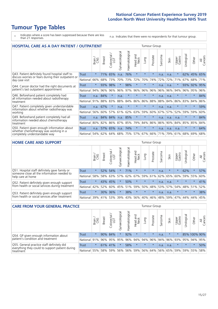- \* Indicates where a score has been suppressed because there are less than 21 responses.
- n.a. Indicates that there were no respondents for that tumour group.

| <b>HOSPITAL CARE AS A DAY PATIENT / OUTPATIENT</b>                                                                    |              |         |               |                 |                |                |                         |         | <b>Tumour Group</b> |              |      |                 |            |         |                |  |  |  |  |  |  |  |  |
|-----------------------------------------------------------------------------------------------------------------------|--------------|---------|---------------|-----------------|----------------|----------------|-------------------------|---------|---------------------|--------------|------|-----------------|------------|---------|----------------|--|--|--|--|--|--|--|--|
|                                                                                                                       |              | Brain   | <b>Breast</b> | ╮<br>Colorectal | Gynaecological | Haematological | ead and<br>Neck<br>Head | Lung    | Prostate            | arcoma<br>ιñ | Skin | Upper<br>Gastro | Urological | Other   | All<br>Cancers |  |  |  |  |  |  |  |  |
| Q43. Patient definitely found hospital staff to                                                                       | Trust        | $\star$ | 71%           | 65%             | n.a.           | 76%            | $\star$                 | $\star$ | $\star$             | n.a.         | n.a. | $\star$         | 62%        | 45%     | 65%            |  |  |  |  |  |  |  |  |
| discuss worries or fears during their outpatient or<br>day case visit                                                 | National     | 66%     | 68%           | 73%             | 70%            | 73%            | 72%                     | 70%     | 74%                 | 72%          | 72%  | 71%             | 67%        | 68%     | 71%            |  |  |  |  |  |  |  |  |
| Q44. Cancer doctor had the right documents at<br>patient's last outpatient appointment                                | Trust        | $\star$ | 93%           | 98%             | $\star$        | 98%            | $\star$                 | $\star$ | $\star$             | n.a.         | n.a. |                 | 93%        | 92%     | 95%            |  |  |  |  |  |  |  |  |
|                                                                                                                       | National     | 94%     | 96%           | 96%             | 96%            | 97%            | 96%                     | 96%     | 96%                 | 96%          | 96%  | 94%             | 96%        | 95%     | 96%            |  |  |  |  |  |  |  |  |
| Q46. Beforehand patient completely had                                                                                | <b>Trust</b> | n.a.    | 84%           | $\star$         | n.a.           | $\star$        | $\star$                 | $\star$ | $\star$             | n.a.         | n.a. | $\star$         | $\star$    | $\star$ | 84%            |  |  |  |  |  |  |  |  |
| all information needed about radiotherapy<br>treatment                                                                | National     | 91%     | 88%           | 83%             | 88%            | 84%            | 86%                     | 86%     | 88%                 | 88%          | 84%  | 86%             | 83%        | 84%     | 86%            |  |  |  |  |  |  |  |  |
| Q47. Patient completely given understandable                                                                          | Trust        | n.a.    | 67%           | $\star$         | n.a.           | $\star$        | $\star$                 | $\star$ | $\star$             | n.a.         | n.a. | $\star$         | $\star$    | $\ast$  | 59%            |  |  |  |  |  |  |  |  |
| information about whether radiotherapy was<br>working                                                                 | National     | 56%     | 60%           | 57%             | 61%            | 62%            | 63%                     | 59%     | 60%                 | 67%          | 57%  | 52%             | 59%        | 59%     | 60%            |  |  |  |  |  |  |  |  |
| Q49. Beforehand patient completely had all<br>information needed about chemotherapy<br>treatment                      | <b>Trust</b> | n.a.    | 84% 84%       |                 | n.a.           | 85%            | $\star$                 | $\star$ | $\star$             | n.a.         | n.a. | n.a.            | $\star$    | $\star$ | 84%            |  |  |  |  |  |  |  |  |
|                                                                                                                       | National     | 80%     | 82%           | 86%             | 87%            | 85%            | 79%                     | 84%     | 86%                 | 86%          | 90%  | 84%             | 85%        | 85%     | 84%            |  |  |  |  |  |  |  |  |
| Q50. Patient given enough information about<br>whether chemotherapy was working in a<br>completely understandable way | Trust        | n.a.    | 57%           | 65%             | n.a.           | 74%            | $\star$                 | $\star$ | $\star$             | n.a.         | n.a. | n.a.            | $\star$    | $\star$ | 64%            |  |  |  |  |  |  |  |  |
|                                                                                                                       | National     | 54%     | 62%           | 64%             | 68%            | 75%            |                         | 57% 67% | 66%                 | 71%          | 79%  | 61%             | 68%        | 69%     | 68%            |  |  |  |  |  |  |  |  |

#### **HOME CARE AND SUPPORT** Tumour Group

|                                                                                                                   |              | Brain<br>CNS | <b>Breast</b> | Colorectal | $\overline{\sigma}$<br>Gynaecologic | Haematological | ad and<br>Neck<br>—<br>Head | Lung    | Prostate | Sarcoma | Skin    | Upper<br>Gastro | Urological | Other   | All<br>Cancers |
|-------------------------------------------------------------------------------------------------------------------|--------------|--------------|---------------|------------|-------------------------------------|----------------|-----------------------------|---------|----------|---------|---------|-----------------|------------|---------|----------------|
| Q51. Hospital staff definitely gave family or<br>someone close all the information needed to<br>help care at home | <b>Trust</b> | $\star$      |               | 52% 54%    | $\star$                             | 71%            | $\star$                     | $\star$ | $\star$  | n.a.    | $\star$ | $\star$         | 62%        | $\ast$  | 57%            |
|                                                                                                                   | National     | 58%          | 58%           | 63%        | 57%                                 | 62%            | 67%                         | 59%     | 61%      |         | 62% 65% | 60%             | 59%        | 55%     | 60%            |
| Q52. Patient definitely given enough support<br>from health or social services during treatment                   | Trust        | $\star$      |               | 43% 45%    | $\star$                             | 50%            | $\star$                     | $\star$ | $\star$  | n.a.    | n.a.    | $\star$         | $\star$    | $\star$ | 41%            |
|                                                                                                                   | National     | 42%          | 52%           | 60%        | 45%                                 | 51%            | 59%                         | 50%     | 48%      |         | 53% 57% | 54%             | 48% 51%    |         | 52%            |
| Q53. Patient definitely given enough support<br>from health or social services after treatment                    | Trust        | $\star$      | 30%           | 36%        | $\star$                             | 38%            | $\star$                     | $\star$ | $\star$  | n.a.    | n.a.    | $\star$         | $\star$    | $\star$ | 38%            |
|                                                                                                                   | National     | 39%          |               | 41% 53%    | 39%                                 | 43%            | 56%                         | 40%     | 46%      | 48% 59% |         | 47%             | 44%        | 44%     | 45%            |

| <b>CARE FROM YOUR GENERAL PRACTICE</b>                                                                     |              |         |               |                        |               |                |                                         |         | <b>Tumour Group</b> |         |         |                 |                       |              |                |  |  |  |  |
|------------------------------------------------------------------------------------------------------------|--------------|---------|---------------|------------------------|---------------|----------------|-----------------------------------------|---------|---------------------|---------|---------|-----------------|-----------------------|--------------|----------------|--|--|--|--|
|                                                                                                            |              | Brain,  | <b>Breast</b> | ╮<br>Colorectal<br>LGT | Gynaecologica | Haematological | Head and<br>Neck                        | Lung    | Prostate            | Sarcoma | Skin    | Upper<br>Gastro | $\sigma$<br>Urologica | Other        | All<br>Cancers |  |  |  |  |
| Q54. GP given enough information about<br>patient's condition and treatment                                | Trust        | $\star$ | 90% 84%       |                        |               | 92%            | $\star$                                 | $\star$ | $\star$             | n.a.    | $\star$ | $\star$         |                       | 85% 100% 90% |                |  |  |  |  |
|                                                                                                            | National 91% |         |               |                        | 96% 95% 95%   |                | 96% 94% 94% 96% 94% 96% 93% 95% 94% 95% |         |                     |         |         |                 |                       |              |                |  |  |  |  |
| Q55. General practice staff definitely did<br>everything they could to support patient during<br>treatment | <b>Trust</b> | $\star$ |               | 61% 41%                | $\star$       | 58%            | $\star$                                 | $\star$ | $\star$             | n.a.    | n.a.    | $\star$         | $\star$               | $\star$      | 50%            |  |  |  |  |
|                                                                                                            | National 55% |         |               | 58% 59%                | 56%           |                | 56% 59% 56% 64% 56% 65% 59%             |         |                     |         |         |                 |                       | 59% 55%      | 58%            |  |  |  |  |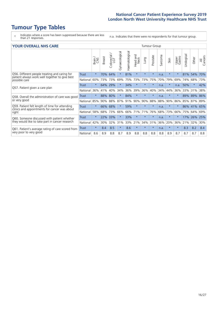# **Tumour Type Tables**

- \* Indicates where a score has been suppressed because there are less than 21 responses.
- n.a. Indicates that there were no respondents for that tumour group.

#### **YOUR OVERALL NHS CARE TUMOUR OVERALL NHS** CARE

|                                                                                                          |              | Brain<br>CNS | <b>Breast</b> | olorectal.<br>LGT<br>Ō | Gynaecological | Haematological | Head and<br>Neck | Lung    | Prostate | arcoma<br>$\sqrt{ }$ | Skin    | Upper<br>Gastro | Urological | Other       | All<br>Cancers |
|----------------------------------------------------------------------------------------------------------|--------------|--------------|---------------|------------------------|----------------|----------------|------------------|---------|----------|----------------------|---------|-----------------|------------|-------------|----------------|
| Q56. Different people treating and caring for                                                            | Trust        | $\star$      | 70%           | 64%                    | $\star$        | 81%            | $\star$          | $\star$ | $\star$  | n.a.                 | $\star$ | $\star$         | 81%        | 54%         | 70%            |
| patient always work well together to give best<br>possible care                                          | National     | 60%          | 73%           | 73%                    | 69%            | 75%            | 73%              | 73%     | 75%      | 70%                  | 79%     | 69%             | 74%        | 68%         | 73%            |
| Q57. Patient given a care plan                                                                           | <b>Trust</b> | $\star$      | 64%           | 29%                    |                | 34%            | $\star$          | $\star$ | $\star$  | n.a.                 | $\star$ | n.a.            | 50%        | $\star$     | 42%            |
|                                                                                                          | National     | 36%          | 41%           | 40%                    | 34%            | 36%            | 39%              | 36%     | 40%      | 34%                  | 44%     | 36%             | 33%        | 31%         | 38%            |
| Q58. Overall the administration of care was good                                                         | Trust        | $^\star$     | 88%           | 80%                    |                | 84%            | $\star$          | $\star$ | $\star$  | n.a.                 | $\star$ |                 | 89%        | 89%         | 86%            |
| or very good                                                                                             | National     | 85%          | 90%           | 88%                    | 87%            | 91%            | 90%              | 90%     | 88%      | 88%                  | 90%     | 86%             |            | 85% 87% 89% |                |
| Q59. Patient felt length of time for attending<br>clinics and appointments for cancer was about<br>right | Trust        | $\star$      | 66%           | 68%                    |                | 59%            | $\star$          | $\star$ | $\star$  | n.a.                 | $\ast$  | $\star$         | 86%        | 41%         | 65%            |
|                                                                                                          | National     | 58%          | 68%           | 73%                    | 66%            | 66%            | 71%              | 71%     | 76%      | 68%                  | 73%     | 66%             | 75%        | 64%         | 69%            |
| Q60. Someone discussed with patient whether<br>they would like to take part in cancer research           | <b>Trust</b> | $\star$      | 22%           | 33%                    |                | 33%            | $\star$          | $\star$ | $\star$  | n.a.                 | $\star$ |                 | 17%        | 26%         | 25%            |
|                                                                                                          | National     | 42%          | 30%           | 32%                    | 31%            | 33%            | 21%              | 34%     | 31%      | 36%                  | 20%     | 36%             | 21%        | 32%         | 30%            |
| Q61. Patient's average rating of care scored from<br>very poor to very good                              | Trust        | $\star$      | 8.4           | 8.5                    | $\star$        | 8.6            | $\star$          | $\star$ | $\star$  | n.a.                 | $\star$ | $\star$         | 8.3        | 8.2         | 8.4            |
|                                                                                                          | National     | 8.6          | 8.9           | 8.8                    | 8.7            | 8.9            | 8.8              | 8.8     | 8.8      | 8.8                  | 8.9     | 8.7             | 8.7        | 8.7         | 8.8            |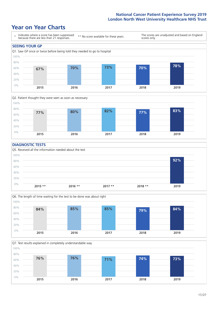### **Year on Year Charts**





#### **DIAGNOSTIC TESTS**





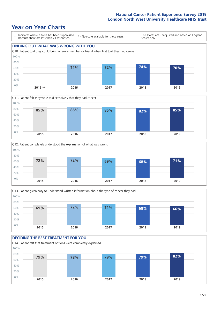







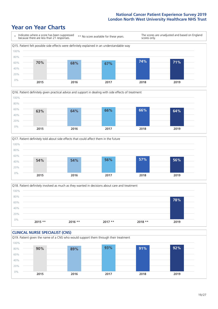





Q18. Patient definitely involved as much as they wanted in decisions about care and treatment  $0%$ 20% 40% 60% 80% 100% **2015 \*\* 2016 \*\* 2017 \*\* 2018 \*\* 2019 78%**

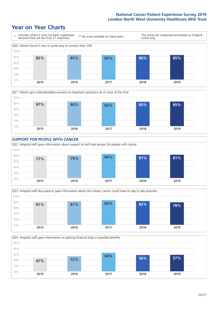









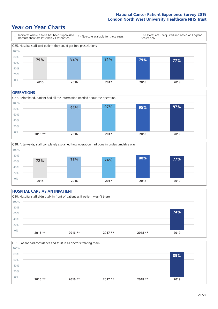### **Year on Year Charts**



#### **OPERATIONS**





#### **HOSPITAL CARE AS AN INPATIENT** Q30. Hospital staff didn't talk in front of patient as if patient wasn't there 0% 20% 40% 60% 80% 100% **2015 \*\* 2016 \*\* 2017 \*\* 2018 \*\* 2019 74%**

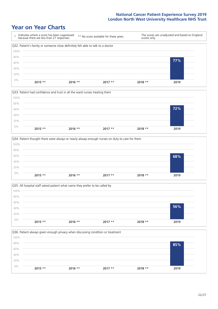







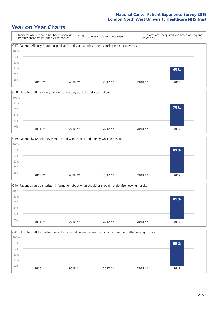







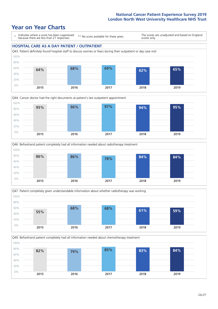### **Year on Year Charts**

\* Indicates where a score has been suppressed because there are less than 21 responses. \*\* No score available for these years. The scores are unadjusted and based on England scores only. **HOSPITAL CARE AS A DAY PATIENT / OUTPATIENT** Q43. Patient definitely found hospital staff to discuss worries or fears during their outpatient or day case visit 80% 100%









Q49. Beforehand patient completely had all information needed about chemotherapy treatment 0% 20% 40% 60% 80% 100% **2015 2016 2017 2018 2019 82% 79% 85% 83% 84%**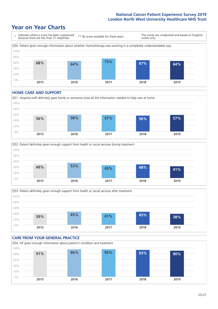### **Year on Year Charts**



#### **HOME CARE AND SUPPORT**







#### **CARE FROM YOUR GENERAL PRACTICE** Q54. GP given enough information about patient's condition and treatment 0% 20% 40% 60% 80% 100% **2015 2016 2017 2018 2019 91% 96% 95% 93% 90%**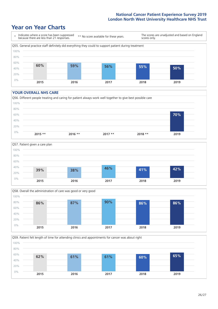### **Year on Year Charts**



#### **YOUR OVERALL NHS CARE**







Q59. Patient felt length of time for attending clinics and appointments for cancer was about right